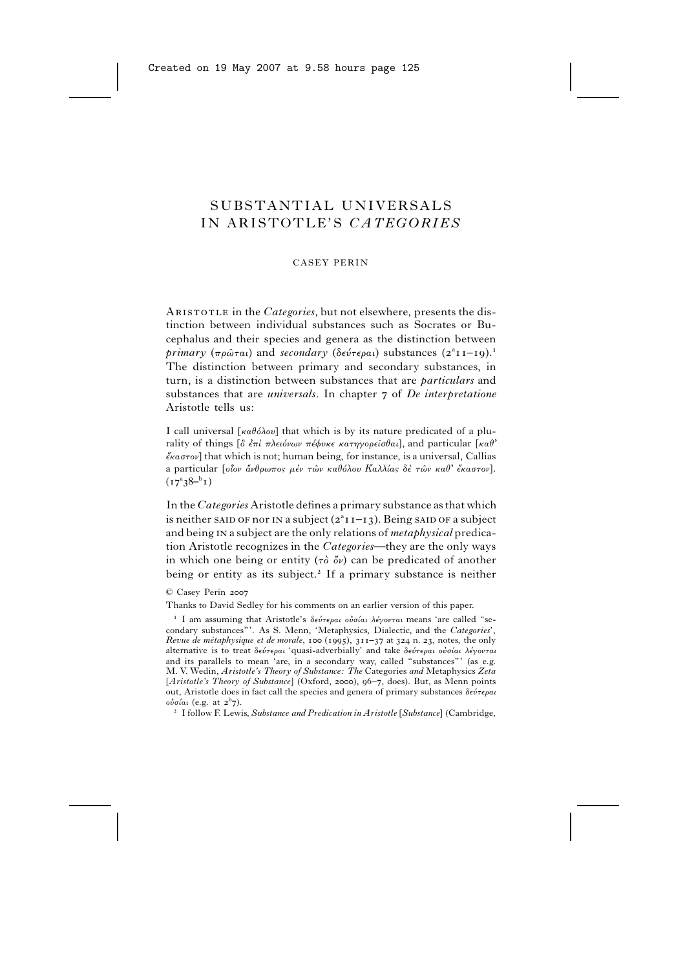# SUBSTANTIAL UNIVERSALS IN ARISTOTLE'S *CATEGORIES*

### CASEY PERIN

ARISTOTLE in the *Categories*, but not elsewhere, presents the distinction between individual substances such as Socrates or Bucephalus and their species and genera as the distinction between *primary* (πρώται) and *secondary* (δεύτεραι) substances (2<sup>a</sup>11-19).<sup>1</sup> The distinction between primary and secondary substances, in turn, is a distinction between substances that are *particulars* and substances that are *universals*. In chapter 7 of *De interpretatione* Aristotle tells us:

I call universal [καθλου] that which is by its nature predicated of a plurality of things  $\left[\delta \epsilon \pi \right]$  πλειόνων πέφυκε κατηγορείσθαι], and particular  $\left[\kappa a\theta \right]$ καστον] that which is not; human being, for instance, is a universal, Callias a particular [οδον ἄνθρωπος μέν τών καθόλου Καλλίας δέ τών καθ' έκαστον].  $(17^a 38^{-b}1)$ 

In the *Categories* Aristotle defines a primary substance as that which is neither said of nor in a subject  $(2^a I - I_3)$ . Being said of a subject and being IN a subject are the only relations of *metaphysical* predication Aristotle recognizes in the *Categories*—they are the only ways in which one being or entity (τὸ ἄν) can be predicated of another being or entity as its subject.<sup>2</sup> If a primary substance is neither

2 I follow F. Lewis, *Substance and Predication in Aristotle* [*Substance*] (Cambridge,

<sup>©</sup> Casey Perin 2007

Thanks to David Sedley for his comments on an earlier version of this paper.

<sup>&</sup>lt;sup>1</sup> I am assuming that Aristotle's δεύτεραι οὐσίαι λέγονται means 'are called "secondary substances"'. As S. Menn, 'Metaphysics, Dialectic, and the *Categories*', *Revue de métaphysique et de morale, 100 (1995), 311–37 at 324 n. 23, notes, the only* alternative is to treat δεύτεραι 'quasi-adverbially' and take δεύτεραι οὐσίαι λέγονται and its parallels to mean 'are, in a secondary way, called "substances"' (as e.g. M. V. Wedin, *Aristotle's Theory of Substance: The* Categories *and* Metaphysics *Zeta* [*Aristotle's Theory of Substance*] (Oxford, 2000), 96–7, does). But, as Menn points out, Aristotle does in fact call the species and genera of primary substances δεύτεραι ούσίαι (e.g. at  $2^b$ 7).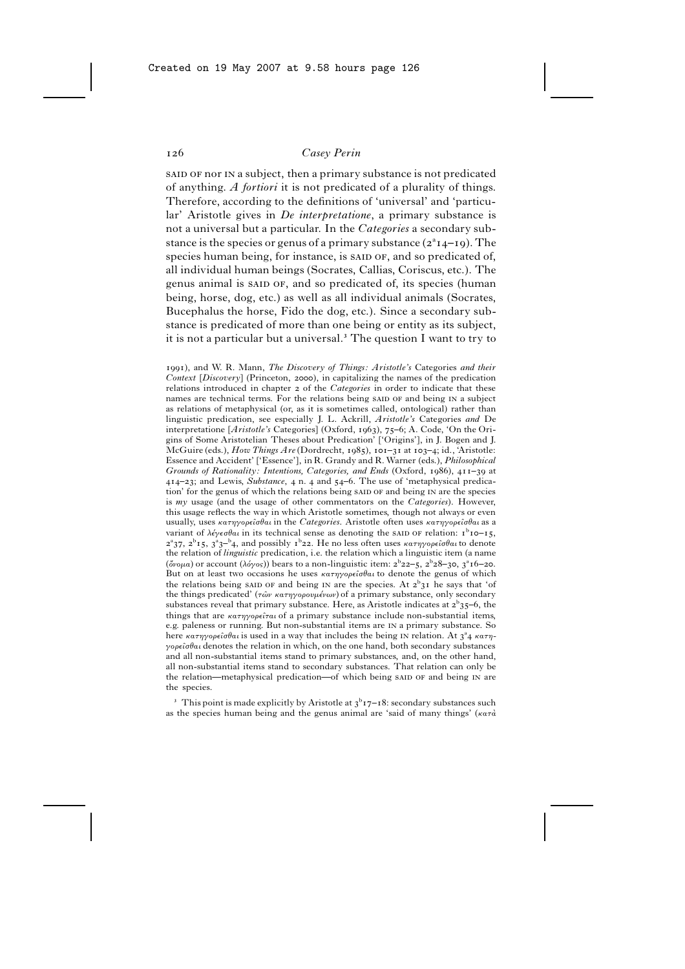said of nor in a subject, then a primary substance is not predicated of anything. *A fortiori* it is not predicated of a plurality of things. Therefore, according to the definitions of 'universal' and 'particular' Aristotle gives in *De interpretatione*, a primary substance is not a universal but a particular. In the *Categories* a secondary substance is the species or genus of a primary substance  $(2^a 14-19)$ . The species human being, for instance, is SAID OF, and so predicated of, all individual human beings (Socrates, Callias, Coriscus, etc.). The genus animal is SAID OF, and so predicated of, its species (human being, horse, dog, etc.) as well as all individual animals (Socrates, Bucephalus the horse, Fido the dog, etc.). Since a secondary substance is predicated of more than one being or entity as its subject, it is not a particular but a universal.3 The question I want to try to

1991), and W. R. Mann, *The Discovery of Things: Aristotle's* Categories *and their Context* [*Discovery*] (Princeton, 2000), in capitalizing the names of the predication relations introduced in chapter 2 of the *Categories* in order to indicate that these names are technical terms. For the relations being said of and being IN a subject as relations of metaphysical (or, as it is sometimes called, ontological) rather than linguistic predication, see especially J. L. Ackrill, *Aristotle's* Categories *and* De interpretatione [*Aristotle's* Categories] (Oxford, 1963), 75–6; A. Code, 'On the Origins of Some Aristotelian Theses about Predication' ['Origins'], in J. Bogen and J. McGuire (eds.), *How Things Are* (Dordrecht, 1985), 101–31 at 103–4; id., 'Aristotle: Essence and Accident' ['Essence'], in R. Grandy and R. Warner (eds.), *Philosophical Grounds of Rationality: Intentions, Categories, and Ends* (Oxford, 1986), 411–39 at 414–23; and Lewis, *Substance*, 4 n. 4 and 54–6. The use of 'metaphysical predication' for the genus of which the relations being said of and being IN are the species is *my* usage (and the usage of other commentators on the *Categories)*. However, this usage reflects the way in which Aristotle sometimes, though not always or even usually, uses κατηγορείσθαι in the *Categories*. Aristotle often uses κατηγορείσθαι as a variant of  $\lambda \epsilon y \epsilon \sigma \theta \alpha \iota$  in its technical sense as denoting the SAID OF relation:  $I^b$ 10–15,  $2^3$ 37,  $2^b$ 15,  $3^a$ 3<sup>-b</sup>4, and possibly 1<sup>b</sup>22. He no less often uses κατηγορείσθαι to denote the relation of *linguistic* predication, i.e. the relation which a linguistic item (a name ("συμα) or account (λόγος)) bears to a non-linguistic item:  $2^{b}22-5$ ,  $2^{b}28-30$ ,  $3^{a}16-20$ . But on at least two occasions he uses κατηγορείσθαι to denote the genus of which the relations being sAID OF and being IN are the species. At  $2^b$ 31 he says that 'of the things predicated' (τῶν κατηγορουμένων) of a primary substance, only secondary substances reveal that primary substance. Here, as Aristotle indicates at  $2^b$ 35–6, the things that are  $\kappa \alpha \tau \eta \gamma o \rho \epsilon \hat{\iota} \tau \alpha \rho$  of a primary substance include non-substantial items, e.g. paleness or running. But non-substantial items are in a primary substance. So here κατηγορείσθαι is used in a way that includes the being IN relation. At  $3^4$  κατηγορεΐσθαι denotes the relation in which, on the one hand, both secondary substances and all non-substantial items stand to primary substances, and, on the other hand, all non-substantial items stand to secondary substances. That relation can only be the relation—metaphysical predication—of which being sAID OF and being IN are the species.

<sup>3</sup> This point is made explicitly by Aristotle at  $3<sup>b</sup>17-18$ : secondary substances such as the species human being and the genus animal are 'said of many things' ( $\kappa a \tau \dot{\alpha}$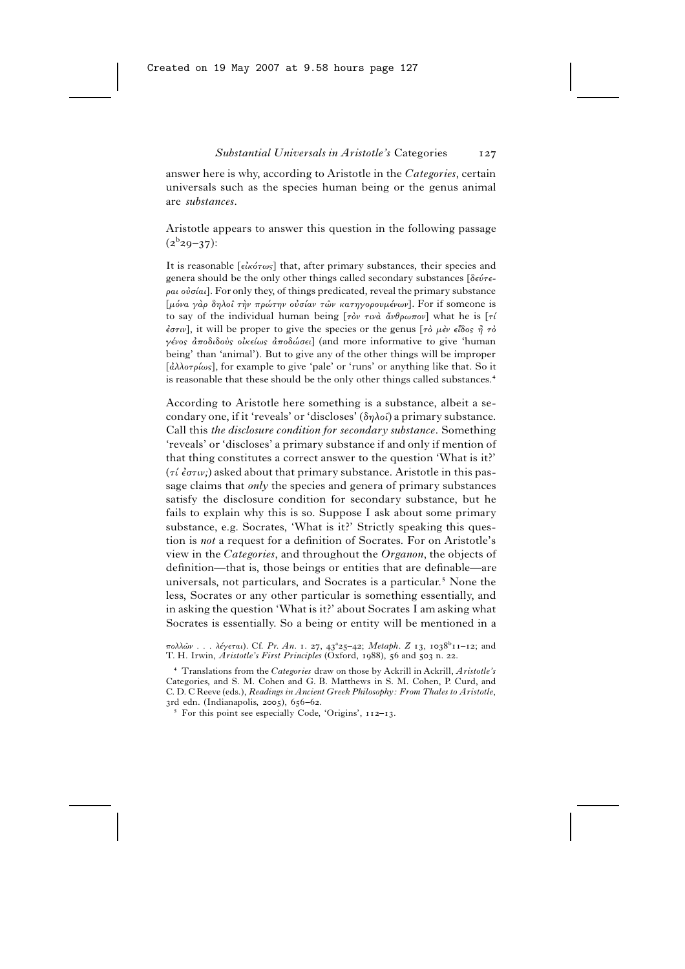answer here is why, according to Aristotle in the *Categories*, certain universals such as the species human being or the genus animal are *substances*.

Aristotle appears to answer this question in the following passage  $(2^{b}29-37)$ :

It is reasonable  $[\epsilon \cdot \hat{i} \kappa \hat{\sigma} \tau \omega_{S}]$  that, after primary substances, their species and genera should be the only other things called secondary substances  $\delta \epsilon \nu \tau \epsilon$ - $\varphi$ αι ούσίαι]. For only they, of things predicated, reveal the primary substance  $\mu$ όνα γάρ δηλοί τήν πρώτην ούσίαν τών κατηγορουμένων]. For if someone is to say of the individual human being  $[\tau \delta v \tau \nu \alpha \alpha \alpha v \partial \rho \omega \pi \nu v]$  what he is  $[\tau \alpha \omega \sigma \sigma \nu]$  $\epsilon \sigma \tau \psi$ , it will be proper to give the species or the genus  $\tau \delta \mu \epsilon \psi \epsilon \delta \delta \delta \delta \eta \tau \delta$ γένος  $\hat{a}$ ποδιδούς οικείως  $\hat{a}$ ποδώσει] (and more informative to give 'human being' than 'animal'). But to give any of the other things will be improper  $\left[\frac{\partial \lambda \partial \sigma \rho}{\omega s}\right]$ , for example to give 'pale' or 'runs' or anything like that. So it is reasonable that these should be the only other things called substances.<sup>4</sup>

According to Aristotle here something is a substance, albeit a secondary one, if it 'reveals' or 'discloses'  $(\delta \eta \lambda o \hat{\imath})$  a primary substance. Call this *the disclosure condition for secondary substance*. Something 'reveals' or 'discloses' a primary substance if and only if mention of that thing constitutes a correct answer to the question 'What is it?' (τί έστιν;) asked about that primary substance. Aristotle in this passage claims that *only* the species and genera of primary substances satisfy the disclosure condition for secondary substance, but he fails to explain why this is so. Suppose I ask about some primary substance, e.g. Socrates, 'What is it?' Strictly speaking this question is *not* a request for a definition of Socrates. For on Aristotle's view in the *Categories*, and throughout the *Organon*, the objects of definition—that is, those beings or entities that are definable—are universals, not particulars, and Socrates is a particular.<sup>5</sup> None the less, Socrates or any other particular is something essentially, and in asking the question 'What is it?' about Socrates I am asking what Socrates is essentially. So a being or entity will be mentioned in a

πολλών . . . λέγεται). Cf. Pr. An. 1. 27, 43<sup>a</sup>25-42; Metaph. Z 13, 1038<sup>b</sup>11-12; and T. H. Irwin, *Aristotle's First Principles* (Oxford, 1988), 56 and 503 n. 22.

<sup>4</sup> Translations from the *Categories* draw on those by Ackrill in Ackrill, *Aristotle's* Categories, and S. M. Cohen and G. B. Matthews in S. M. Cohen, P. Curd, and C. D. C Reeve (eds.), *Readings in Ancient Greek Philosophy: From Thales to Aristotle*, 3rd edn. (Indianapolis, 2005), 656–62.

<sup>5</sup> For this point see especially Code, 'Origins', 112–13.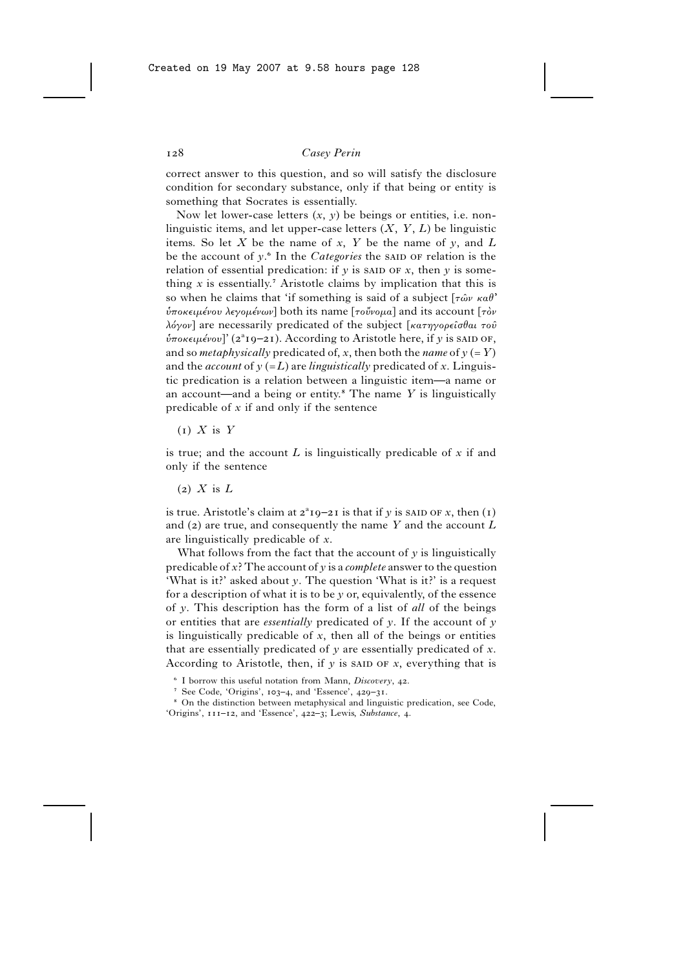correct answer to this question, and so will satisfy the disclosure condition for secondary substance, only if that being or entity is something that Socrates is essentially.

Now let lower-case letters  $(x, y)$  be beings or entities, i.e. nonlinguistic items, and let upper-case letters *(X*, *Y*, *L)* be linguistic items. So let *X* be the name of *x*, *Y* be the name of *y*, and *L* be the account of y.<sup>6</sup> In the *Categories* the said of relation is the relation of essential predication: if  $y$  is said of  $x$ , then  $y$  is something  $x$  is essentially.<sup>7</sup> Aristotle claims by implication that this is so when he claims that 'if something is said of a subject  $[\tau \hat{\omega} v \kappa a \theta$ '  $\hat{v}$ ποκειμένου λεγομένων] both its name [τοὖνομα] and its account [τὸν λόγον] are necessarily predicated of the subject  $\lceil \kappa \alpha \tau \eta \gamma$ ορείσθαι του  $\hat{v}$ ποκειμένου]' (2<sup>a</sup>19–21). According to Aristotle here, if *y* is said of, and so *metaphysically* predicated of, *x*, then both the *name* of  $y$  (=  $Y$ ) and the *account* of  $y (= L)$  are *linguistically* predicated of *x*. Linguistic predication is a relation between a linguistic item—a name or an account—and a being or entity.8 The name *Y* is linguistically predicable of *x* if and only if the sentence

(1) *X* is *Y*

is true; and the account *L* is linguistically predicable of *x* if and only if the sentence

(2) *X* is *L*

is true. Aristotle's claim at  $2^{a}19-21$  is that if *y* is SAID OF *x*, then (1) and (2) are true, and consequently the name *Y* and the account *L* are linguistically predicable of *x*.

What follows from the fact that the account of *y* is linguistically predicable of *x*? The account of *y* is a *complete* answer to the question 'What is it?' asked about *y*. The question 'What is it?' is a request for a description of what it is to be *y* or, equivalently, of the essence of *y*. This description has the form of a list of *all* of the beings or entities that are *essentially* predicated of *y*. If the account of *y* is linguistically predicable of  $x$ , then all of the beings or entities that are essentially predicated of *y* are essentially predicated of *x*. According to Aristotle, then, if  $y$  is said of  $x$ , everything that is

6 I borrow this useful notation from Mann, *Discovery*, 42.

<sup>7</sup>See Code, 'Origins', 103–4, and 'Essence', 429–31.

<sup>8</sup> On the distinction between metaphysical and linguistic predication, see Code, 'Origins', 111–12, and 'Essence', 422–3; Lewis, *Substance*, 4.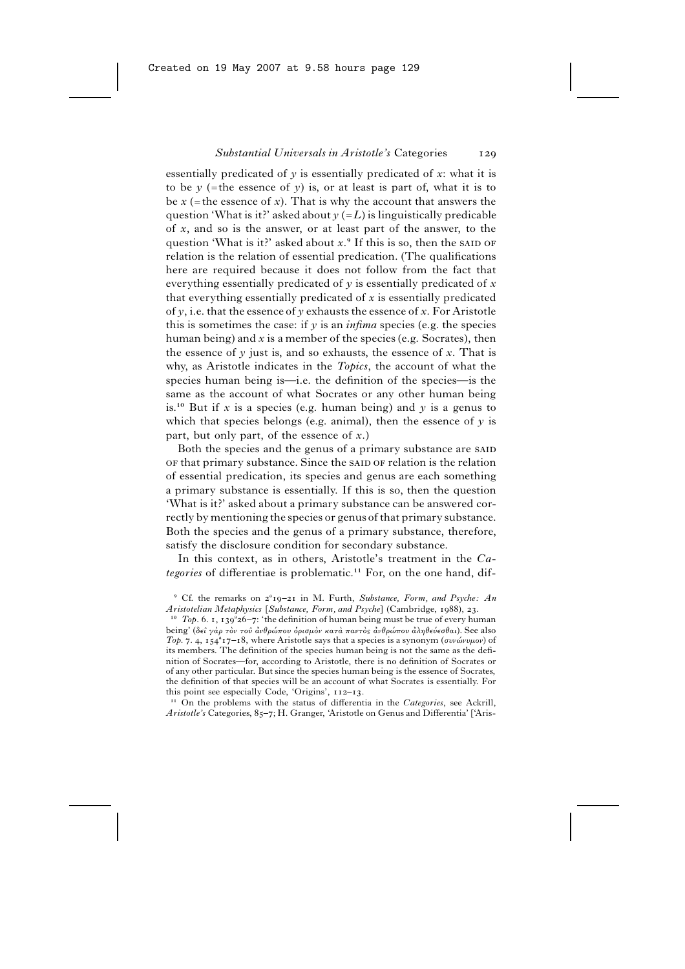essentially predicated of *y* is essentially predicated of *x*: what it is to be  $y$  (=the essence of  $y$ ) is, or at least is part of, what it is to be  $x$  (= the essence of  $x$ ). That is why the account that answers the question 'What is it?' asked about  $y (= L)$  is linguistically predicable of *x*, and so is the answer, or at least part of the answer, to the question 'What is it?' asked about  $x$ .<sup>9</sup> If this is so, then the said of relation is the relation of essential predication. (The qualifications here are required because it does not follow from the fact that everything essentially predicated of *y* is essentially predicated of *x* that everything essentially predicated of *x* is essentially predicated of *y*, i.e. that the essence of *y* exhausts the essence of *x*. For Aristotle this is sometimes the case: if *y* is an *infima* species (e.g. the species human being) and *x* is a member of the species (e.g. Socrates), then the essence of *y* just is, and so exhausts, the essence of *x*. That is why, as Aristotle indicates in the *Topics*, the account of what the species human being is—i.e. the definition of the species—is the same as the account of what Socrates or any other human being is.10 But if *x* is a species (e.g. human being) and *y* is a genus to which that species belongs (e.g. animal), then the essence of *y* is part, but only part, of the essence of *x*.)

Both the species and the genus of a primary substance are said of that primary substance. Since the sAID of relation is the relation of essential predication, its species and genus are each something a primary substance is essentially. If this is so, then the question 'What is it?' asked about a primary substance can be answered correctly by mentioning the species or genus of that primary substance. Both the species and the genus of a primary substance, therefore, satisfy the disclosure condition for secondary substance.

In this context, as in others, Aristotle's treatment in the *Ca*tegories of differentiae is problematic.<sup>11</sup> For, on the one hand, dif-

<sup>&</sup>lt;sup>9</sup> Cf. the remarks on  $2^{a}19-21$  in M. Furth, *Substance, Form, and Psyche: An Aristotelian Metaphysics* [*Substance, Form, and Psyche*] (Cambridge, 1988), 23.

 $10$  *Top*. 6. 1, 139<sup>3</sup>26-7: 'the definition of human being must be true of every human being' (δεί γαρ τον του άνθρώπου δρισμον κατά παντος ανθρώπου άληθεύεσθαι). See also *Top.* 7. 4, 154<sup>a</sup>17–18, where Aristotle says that a species is a synonym (συνώνυμον) of its members. The definition of the species human being is not the same as the definition of Socrates—for, according to Aristotle, there is no definition of Socrates or of any other particular. But since the species human being is the essence of Socrates, the definition of that species will be an account of what Socrates is essentially. For this point see especially Code, 'Origins', 112–13.

<sup>&</sup>lt;sup>11</sup> On the problems with the status of differentia in the *Categories*, see Ackrill, Aristotle's Categories, 85-7; H. Granger, 'Aristotle on Genus and Differentia' ['Aris-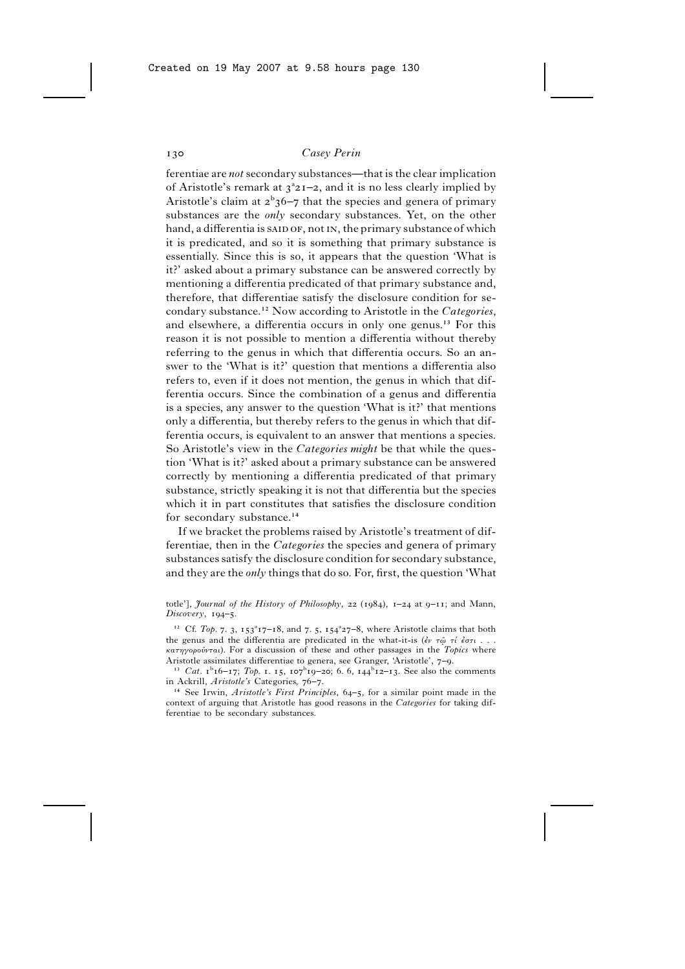ferentiae are *not* secondary substances—that is the clear implication of Aristotle's remark at  $3^2$ 21–2, and it is no less clearly implied by Aristotle's claim at  $2^b$ 36–7 that the species and genera of primary substances are the *only* secondary substances. Yet, on the other hand, a differentia is SAID OF, not IN, the primary substance of which it is predicated, and so it is something that primary substance is essentially. Since this is so, it appears that the question 'What is it?' asked about a primary substance can be answered correctly by mentioning a differentia predicated of that primary substance and, therefore, that differentiae satisfy the disclosure condition for secondary substance.12 Now according to Aristotle in the *Categories*, and elsewhere, a differentia occurs in only one genus.<sup>13</sup> For this reason it is not possible to mention a differentia without thereby referring to the genus in which that differentia occurs. So an answer to the 'What is it?' question that mentions a differentia also refers to, even if it does not mention, the genus in which that differentia occurs. Since the combination of a genus and differentia is a species, any answer to the question 'What is it?' that mentions only a differentia, but thereby refers to the genus in which that differentia occurs, is equivalent to an answer that mentions a species. So Aristotle's view in the *Categories might* be that while the question 'What is it?' asked about a primary substance can be answered correctly by mentioning a differentia predicated of that primary substance, strictly speaking it is not that differentia but the species which it in part constitutes that satisfies the disclosure condition for secondary substance.<sup>14</sup>

If we bracket the problems raised by Aristotle's treatment of differentiae, then in the *Categories* the species and genera of primary substances satisfy the disclosure condition for secondary substance, and they are the *only* things that do so. For, first, the question 'What

totle'], *Journal of the History of Philosophy*, 22 (1984), 1–24 at 9–11; and Mann, *Discovery*, 194–5.

<sup>12</sup> Cf. *Top.* 7. 3,  $153^317-18$ , and 7. 5,  $154^327-8$ , where Aristotle claims that both the genus and the differentia are predicated in the what-it-is (εν τώ τί έστι... κατηγορο3νται). For a discussion of these and other passages in the *Topics* where Aristotle assimilates differentiae to genera, see Granger, 'Aristotle', 7-9.

<sup>13</sup> *Cat.*  $1^{b}16-17$ ; *Top.* 1. 15,  $107^{b}19-20$ ; 6. 6,  $144^{b}12-13$ . See also the comments in Ackrill, *Aristotle's* Categories, 76–7.

14 See Irwin, *Aristotle's First Principles*, 64–5, for a similar point made in the context of arguing that Aristotle has good reasons in the *Categories* for taking differentiae to be secondary substances.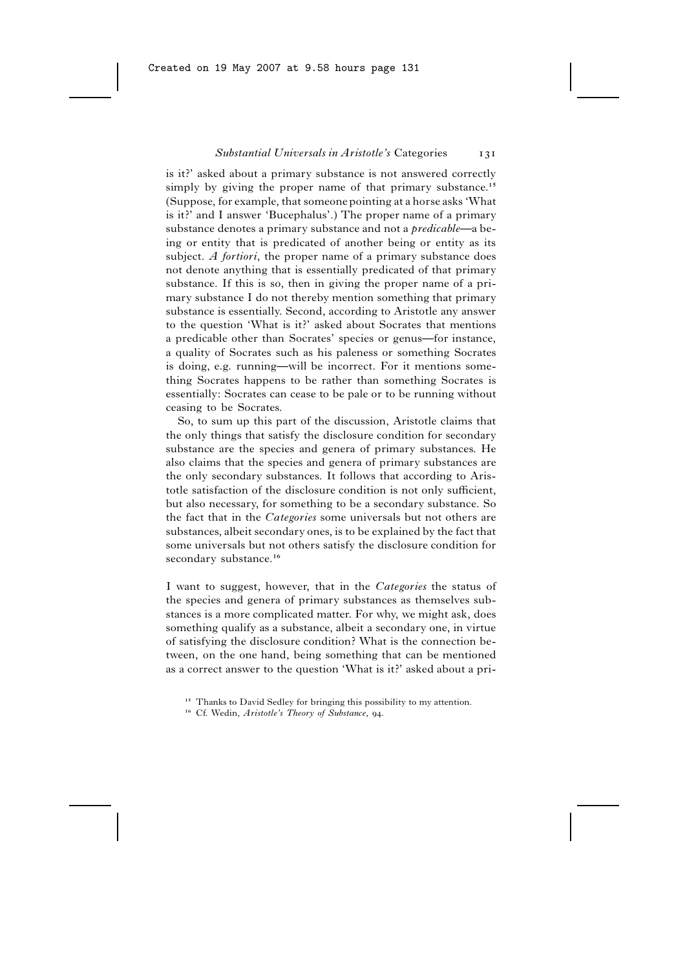is it?' asked about a primary substance is not answered correctly simply by giving the proper name of that primary substance.<sup>15</sup> (Suppose, for example, that someone pointing at a horse asks 'What is it?' and I answer 'Bucephalus'.) The proper name of a primary substance denotes a primary substance and not a *predicable*—a being or entity that is predicated of another being or entity as its subject. *A fortiori*, the proper name of a primary substance does not denote anything that is essentially predicated of that primary substance. If this is so, then in giving the proper name of a primary substance I do not thereby mention something that primary substance is essentially. Second, according to Aristotle any answer to the question 'What is it?' asked about Socrates that mentions a predicable other than Socrates' species or genus—for instance, a quality of Socrates such as his paleness or something Socrates is doing, e.g. running—will be incorrect. For it mentions something Socrates happens to be rather than something Socrates is essentially: Socrates can cease to be pale or to be running without ceasing to be Socrates.

So, to sum up this part of the discussion, Aristotle claims that the only things that satisfy the disclosure condition for secondary substance are the species and genera of primary substances. He also claims that the species and genera of primary substances are the only secondary substances. It follows that according to Aristotle satisfaction of the disclosure condition is not only sufficient, but also necessary, for something to be a secondary substance. So the fact that in the *Categories* some universals but not others are substances, albeit secondary ones, is to be explained by the fact that some universals but not others satisfy the disclosure condition for secondary substance.<sup>16</sup>

I want to suggest, however, that in the *Categories* the status of the species and genera of primary substances as themselves substances is a more complicated matter. For why, we might ask, does something qualify as a substance, albeit a secondary one, in virtue of satisfying the disclosure condition? What is the connection between, on the one hand, being something that can be mentioned as a correct answer to the question 'What is it?' asked about a pri-

16 Cf. Wedin, *Aristotle's Theory of Substance*, 94.

<sup>&</sup>lt;sup>15</sup> Thanks to David Sedley for bringing this possibility to my attention.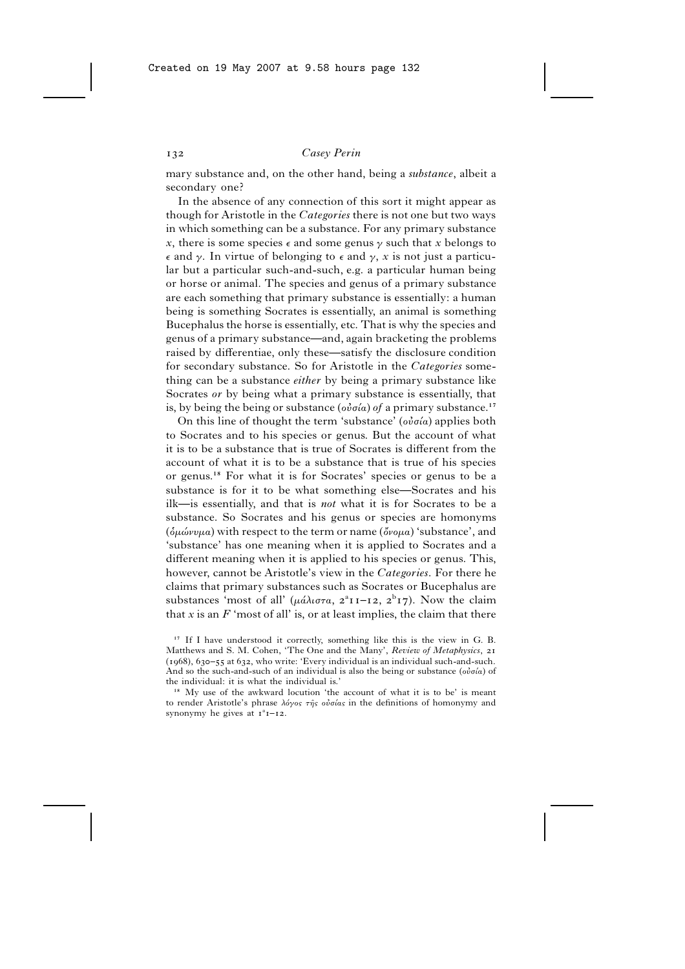mary substance and, on the other hand, being a *substance*, albeit a secondary one?

In the absence of any connection of this sort it might appear as though for Aristotle in the *Categories* there is not one but two ways in which something can be a substance. For any primary substance *x*, there is some species  $\epsilon$  and some genus  $\gamma$  such that *x* belongs to ε and γ. In virtue of belonging to ε and γ, *x* is not just a particular but a particular such-and-such, e.g. a particular human being or horse or animal. The species and genus of a primary substance are each something that primary substance is essentially: a human being is something Socrates is essentially, an animal is something Bucephalus the horse is essentially, etc. That is why the species and genus of a primary substance—and, again bracketing the problems raised by differentiae, only these—satisfy the disclosure condition for secondary substance. So for Aristotle in the *Categories* something can be a substance *either* by being a primary substance like Socrates *or* by being what a primary substance is essentially, that is, by being the being or substance (*οὐσία*) *of* a primary substance.<sup>17</sup>

On this line of thought the term 'substance' ( $o\dot{v}$ σία) applies both to Socrates and to his species or genus. But the account of what it is to be a substance that is true of Socrates is different from the account of what it is to be a substance that is true of his species or genus.18 For what it is for Socrates' species or genus to be a substance is for it to be what something else—Socrates and his ilk—is essentially, and that is *not* what it is for Socrates to be a substance. So Socrates and his genus or species are homonyms ( $\delta \mu \omega \nu \mu a$ ) with respect to the term or name ( $\delta \nu \omega \mu a$ ) 'substance', and 'substance' has one meaning when it is applied to Socrates and a different meaning when it is applied to his species or genus. This, however, cannot be Aristotle's view in the *Categories*. For there he claims that primary substances such as Socrates or Bucephalus are substances 'most of all' ( $\mu \hat{\alpha} \lambda \hat{\sigma} \tau \alpha$ ,  $2^{\alpha} I I^{-1} Z$ ,  $2^{\beta} I 7$ ). Now the claim that  $x$  is an  $F$  'most of all' is, or at least implies, the claim that there

<sup>&</sup>lt;sup>17</sup> If I have understood it correctly, something like this is the view in G. B. Matthews and S. M. Cohen, 'The One and the Many', *Review of Metaphysics*, 21 (1968), 630–55 at 632, who write: 'Every individual is an individual such-and-such. And so the such-and-such of an individual is also the being or substance  $(\omega \sigma \alpha)$  of the individual: it is what the individual is.'

<sup>&</sup>lt;sup>18</sup> My use of the awkward locution 'the account of what it is to be' is meant to render Aristotle's phrase λόγος της ουσίας in the definitions of homonymy and synonymy he gives at  $I^aI-I2$ .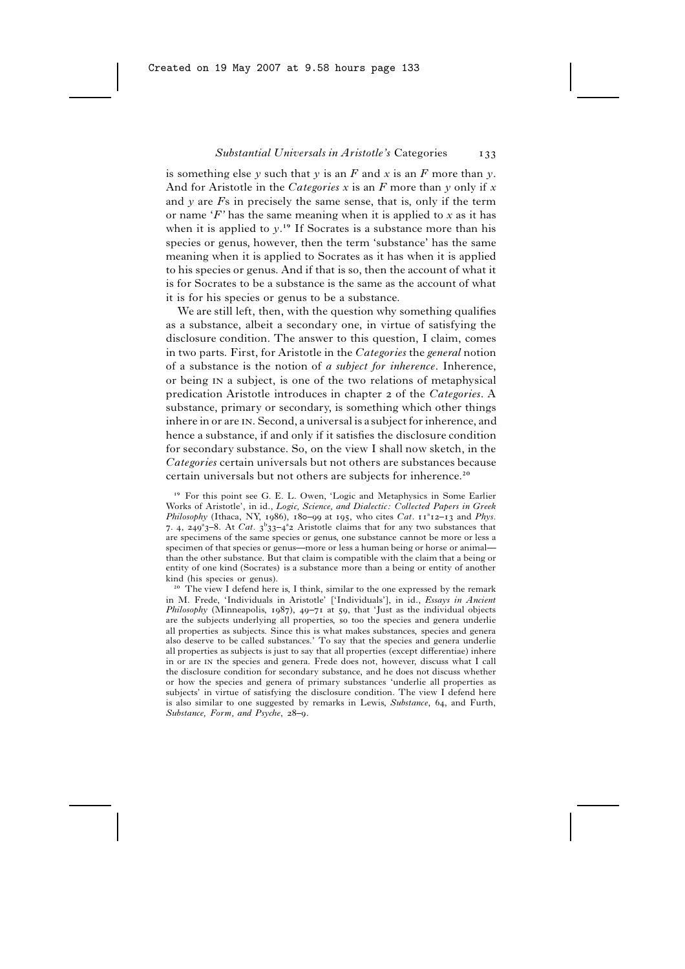is something else  $\gamma$  such that  $\gamma$  is an *F* and *x* is an *F* more than  $\gamma$ . And for Aristotle in the *Categories x* is an *F* more than *y* only if *x* and  $y$  are  $Fs$  in precisely the same sense, that is, only if the term or name '*F'* has the same meaning when it is applied to *x* as it has when it is applied to  $y<sup>19</sup>$ . If Socrates is a substance more than his species or genus, however, then the term 'substance' has the same meaning when it is applied to Socrates as it has when it is applied to his species or genus. And if that is so, then the account of what it is for Socrates to be a substance is the same as the account of what it is for his species or genus to be a substance.

We are still left, then, with the question why something qualifies as a substance, albeit a secondary one, in virtue of satisfying the disclosure condition. The answer to this question, I claim, comes in two parts. First, for Aristotle in the *Categories* the *general* notion of a substance is the notion of *a subject for inherence*. Inherence, or being in a subject, is one of the two relations of metaphysical predication Aristotle introduces in chapter 2 of the *Categories*. A substance, primary or secondary, is something which other things inhere in or are in. Second, a universal is a subject for inherence, and hence a substance, if and only if it satisfies the disclosure condition for secondary substance. So, on the view I shall now sketch, in the *Categories* certain universals but not others are substances because certain universals but not others are subjects for inherence.<sup>20</sup>

19 For this point see G. E. L. Owen, 'Logic and Metaphysics in Some Earlier Works of Aristotle', in id., *Logic, Science, and Dialectic: Collected Papers in Greek Philosophy* (Ithaca, NY, 1986), 180–99 at 195, who cites *Cat.*  $11^a12-13$  and *Phys.* 7. 4,  $249^{\degree}3$ –8. At *Cat.*  $3^{\degree}33$ – $4^{\degree}2$  Aristotle claims that for any two substances that are specimens of the same species or genus, one substance cannot be more or less a specimen of that species or genus—more or less a human being or horse or animal than the other substance. But that claim is compatible with the claim that a being or entity of one kind (Socrates) is a substance more than a being or entity of another kind (his species or genus).

<sup>20</sup> The view I defend here is, I think, similar to the one expressed by the remark in M. Frede, 'Individuals in Aristotle' ['Individuals'], in id., *Essays in Ancient Philosophy* (Minneapolis, 1987), 49–71 at 59, that 'Just as the individual objects are the subjects underlying all properties, so too the species and genera underlie all properties as subjects. Since this is what makes substances, species and genera also deserve to be called substances.' To say that the species and genera underlie all properties as subjects is just to say that all properties (except differentiae) inhere in or are in the species and genera. Frede does not, however, discuss what I call the disclosure condition for secondary substance, and he does not discuss whether or how the species and genera of primary substances 'underlie all properties as subjects' in virtue of satisfying the disclosure condition. The view I defend here is also similar to one suggested by remarks in Lewis, *Substance*, 64, and Furth, *Substance, Form, and Psyche*, 28–9.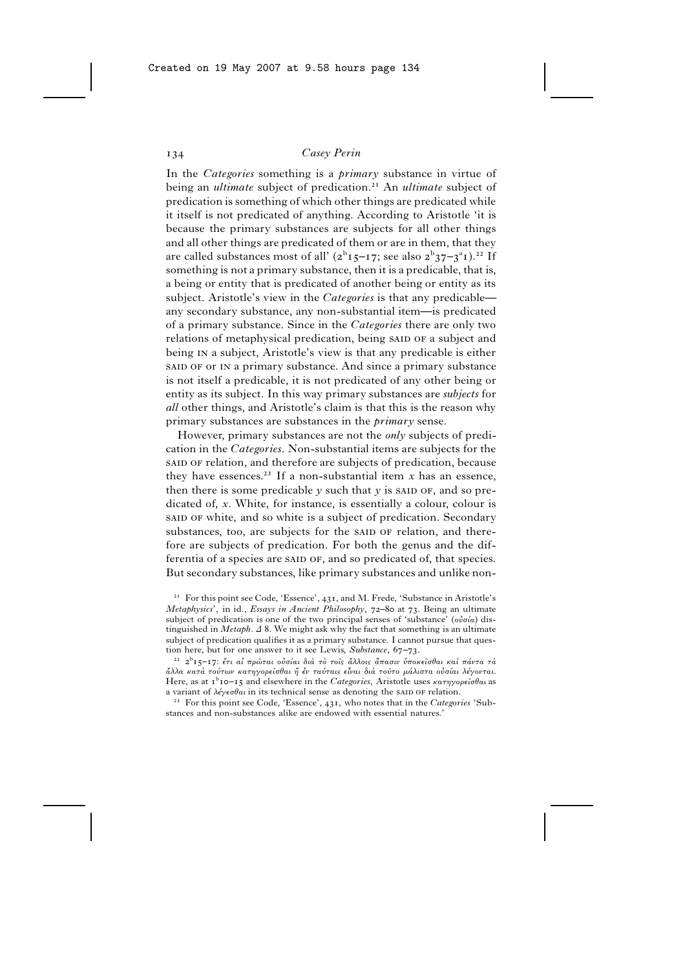In the *Categories* something is a *primary* substance in virtue of being an *ultimate* subject of predication.<sup>21</sup> An *ultimate* subject of predication is something of which other things are predicated while it itself is not predicated of anything. According to Aristotle 'it is because the primary substances are subjects for all other things and all other things are predicated of them or are in them, that they are called substances most of all'  $(2^{b}15-17)$ ; see also  $2^{b}37-3^{a}1$ ).<sup>22</sup> If something is not a primary substance, then it is a predicable, that is, a being or entity that is predicated of another being or entity as its subject. Aristotle's view in the *Categories* is that any predicable any secondary substance, any non-substantial item—is predicated of a primary substance. Since in the *Categories* there are only two relations of metaphysical predication, being said of a subject and being in a subject, Aristotle's view is that any predicable is either said of or in a primary substance. And since a primary substance is not itself a predicable, it is not predicated of any other being or entity as its subject. In this way primary substances are *subjects* for *all* other things, and Aristotle's claim is that this is the reason why primary substances are substances in the *primary* sense.

However, primary substances are not the *only* subjects of predication in the *Categories*. Non-substantial items are subjects for the said of relation, and therefore are subjects of predication, because they have essences.<sup>23</sup> If a non-substantial item  $x$  has an essence, then there is some predicable  $y$  such that  $y$  is said of, and so predicated of, *x*. White, for instance, is essentially a colour, colour is said of white, and so white is a subject of predication. Secondary substances, too, are subjects for the said of relation, and therefore are subjects of predication. For both the genus and the differentia of a species are SAID OF, and so predicated of, that species. But secondary substances, like primary substances and unlike non-

<sup>21</sup> For this point see Code, 'Essence', 431, and M. Frede, 'Substance in Aristotle's *Metaphysics*', in id., *Essays in Ancient Philosophy*, 72–80 at 73. Being an ultimate subject of predication is one of the two principal senses of 'substance' ( $o\dot{v}$ σία) distinguished in *Metaph.* ∆ 8. We might ask why the fact that something is an ultimate subject of predication qualifies it as a primary substance. I cannot pursue that question here, but for one answer to it see Lewis, *Substance*, 67–73.

<sup>&</sup>lt;sup>22</sup> 2<sup>b</sup>15–17: ἔτι αί πρῶται οὐσίαι διὰ τὸ τοῖς ἄλλοις ἅπασιν ὑποκεῖσθαι καὶ πάντα τὰ άλλα κατά τούτων κατηγορείσθαι ή έν ταύταις είναι διά τούτο μάλιστα ούσίαι λέγονται. Here, as at  $I^b$ 10–15 and elsewhere in the *Categories*, Aristotle uses κατηγορείσθαι as a variant of  $\lambda \epsilon y \epsilon \sigma \theta a \iota$  in its technical sense as denoting the SAID OF relation.

<sup>23</sup> For this point see Code, 'Essence', 431, who notes that in the *Categories* 'Substances and non-substances alike are endowed with essential natures.'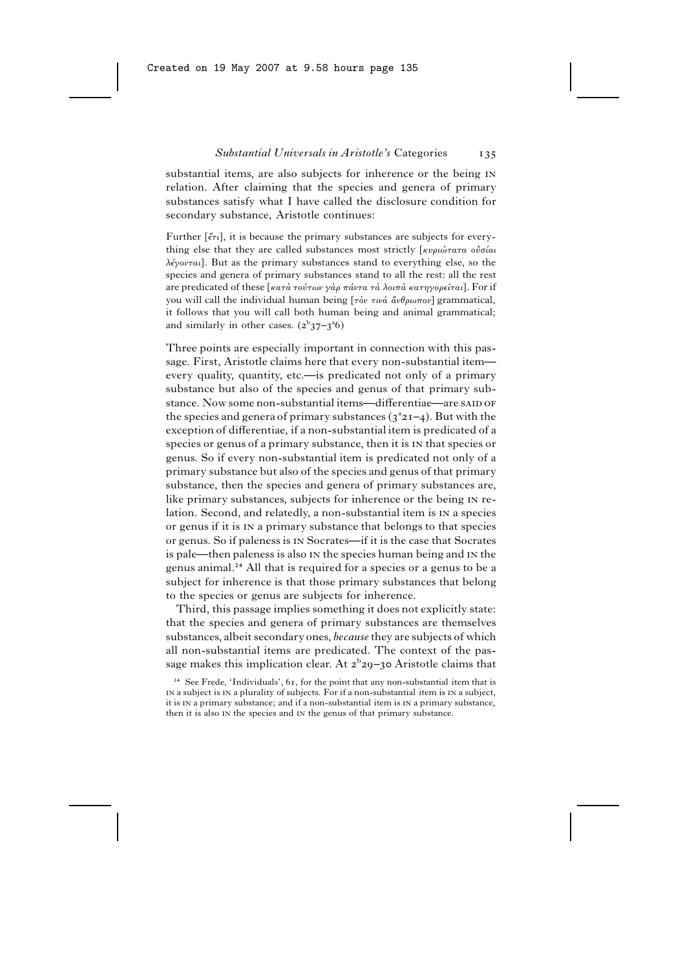substantial items, are also subjects for inherence or the being in relation. After claiming that the species and genera of primary substances satisfy what I have called the disclosure condition for secondary substance, Aristotle continues:

Further  $[\xi_{\tau}t]$ , it is because the primary substances are subjects for everything else that they are called substances most strictly  $\lceil \kappa v \rho \iota \omega \tau \alpha \tau \alpha \partial \nu \sigma \iota \alpha \iota \alpha \rangle$  $\lambda \epsilon \gamma \omega \tau \alpha l$ . But as the primary substances stand to everything else, so the species and genera of primary substances stand to all the rest: all the rest are predicated of these  $\left[\kappa a\tau\dot{a}\tau\dot{\omega}\tau\omega v\gamma\dot{a}\rho\pi\dot{a}\nu\tau a\tau\dot{a}\lambda\dot{\alpha}\pi\dot{a}\kappa\alpha\tau\eta\gamma o\rho\epsilon\hat{c}\tau\alpha l\right]$ . For if you will call the individual human being  $[\tau\delta\nu\tau\psi\alpha\phi\alpha\sigma\psi\sigma\psi]$  grammatical, it follows that you will call both human being and animal grammatical; and similarly in other cases.  $(2^b 37-3^a 6)$ 

Three points are especially important in connection with this passage. First, Aristotle claims here that every non-substantial item every quality, quantity, etc.—is predicated not only of a primary substance but also of the species and genus of that primary substance. Now some non-substantial items—differentiae—are said of the species and genera of primary substances  $(3^22I-4)$ . But with the exception of differentiae, if a non-substantial item is predicated of a species or genus of a primary substance, then it is in that species or genus. So if every non-substantial item is predicated not only of a primary substance but also of the species and genus of that primary substance, then the species and genera of primary substances are, like primary substances, subjects for inherence or the being IN relation. Second, and relatedly, a non-substantial item is in a species or genus if it is in a primary substance that belongs to that species or genus. So if paleness is in Socrates—if it is the case that Socrates is pale—then paleness is also in the species human being and in the genus animal.24 All that is required for a species or a genus to be a subject for inherence is that those primary substances that belong to the species or genus are subjects for inherence.

Third, this passage implies something it does not explicitly state: that the species and genera of primary substances are themselves substances, albeit secondary ones, *because* they are subjects of which all non-substantial items are predicated. The context of the passage makes this implication clear. At  $2^b$ 29–30 Aristotle claims that

<sup>24</sup> See Frede, 'Individuals', 61, for the point that any non-substantial item that is in a subject is in a plurality of subjects. For if a non-substantial item is in a subject, it is in a primary substance; and if a non-substantial item is in a primary substance, then it is also in the species and in the genus of that primary substance.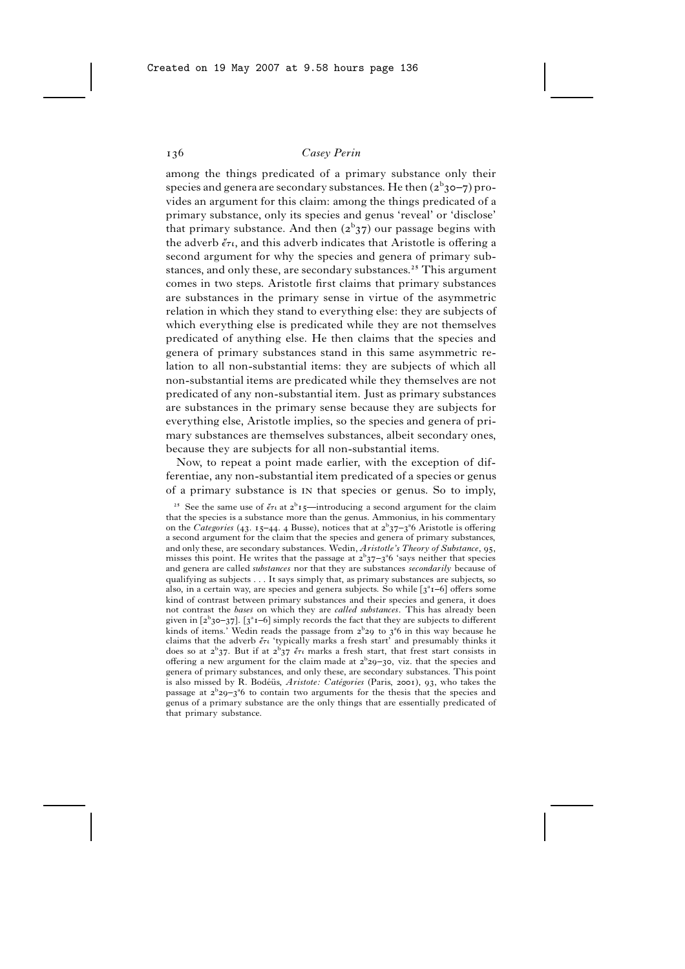among the things predicated of a primary substance only their species and genera are secondary substances. He then  $(2^b$ 30–7) provides an argument for this claim: among the things predicated of a primary substance, only its species and genus 'reveal' or 'disclose' that primary substance. And then  $(2^b \cdot 37)$  our passage begins with the adverb  $\zeta\tau_l$ , and this adverb indicates that Aristotle is offering a second argument for why the species and genera of primary substances, and only these, are secondary substances.<sup>25</sup> This argument comes in two steps. Aristotle first claims that primary substances are substances in the primary sense in virtue of the asymmetric relation in which they stand to everything else: they are subjects of which everything else is predicated while they are not themselves predicated of anything else. He then claims that the species and genera of primary substances stand in this same asymmetric relation to all non-substantial items: they are subjects of which all non-substantial items are predicated while they themselves are not predicated of any non-substantial item. Just as primary substances are substances in the primary sense because they are subjects for everything else, Aristotle implies, so the species and genera of primary substances are themselves substances, albeit secondary ones, because they are subjects for all non-substantial items.

Now, to repeat a point made earlier, with the exception of differentiae, any non-substantial item predicated of a species or genus of a primary substance is in that species or genus. So to imply,

<sup>&</sup>lt;sup>25</sup> See the same use of  $\frac{z}{5}$  at  $2^b$ 15—introducing a second argument for the claim that the species is a substance more than the genus. Ammonius, in his commentary on the *Categories* (43. 15–44. 4 Busse), notices that at  $2^b 37-3^d 6$  Aristotle is offering a second argument for the claim that the species and genera of primary substances, and only these, are secondary substances. Wedin, *Aristotle's Theory of Substance*, 95, misses this point. He writes that the passage at  $2^b 37-3^a 6$  'says neither that species and genera are called *substances* nor that they are substances *secondarily* because of qualifying as subjects . . . It says simply that, as primary substances are subjects, so also, in a certain way, are species and genera subjects. So while  $[3^aI-6]$  offers some kind of contrast between primary substances and their species and genera, it does not contrast the *bases* on which they are *called substances*. This has already been given in  $[2^b$ 30–37]. [3<sup>a</sup><sub>1</sub>–6] simply records the fact that they are subjects to different kinds of items.' Wedin reads the passage from  $2^b29$  to  $3^a6$  in this way because he claims that the adverb  $\epsilon'_{\tau\tau}$  'typically marks a fresh start' and presumably thinks it does so at  $2^{b}37$ . But if at  $2^{b}37$   $\epsilon \tau \iota$  marks a fresh start, that frest start consists in offering a new argument for the claim made at  $2^b29$ –30, viz. that the species and genera of primary substances, and only these, are secondary substances. This point is also missed by R. Bodéüs, Aristote: Catégories (Paris, 2001), 93, who takes the passage at  $2^{b}29-3^{a}6$  to contain two arguments for the thesis that the species and genus of a primary substance are the only things that are essentially predicated of that primary substance.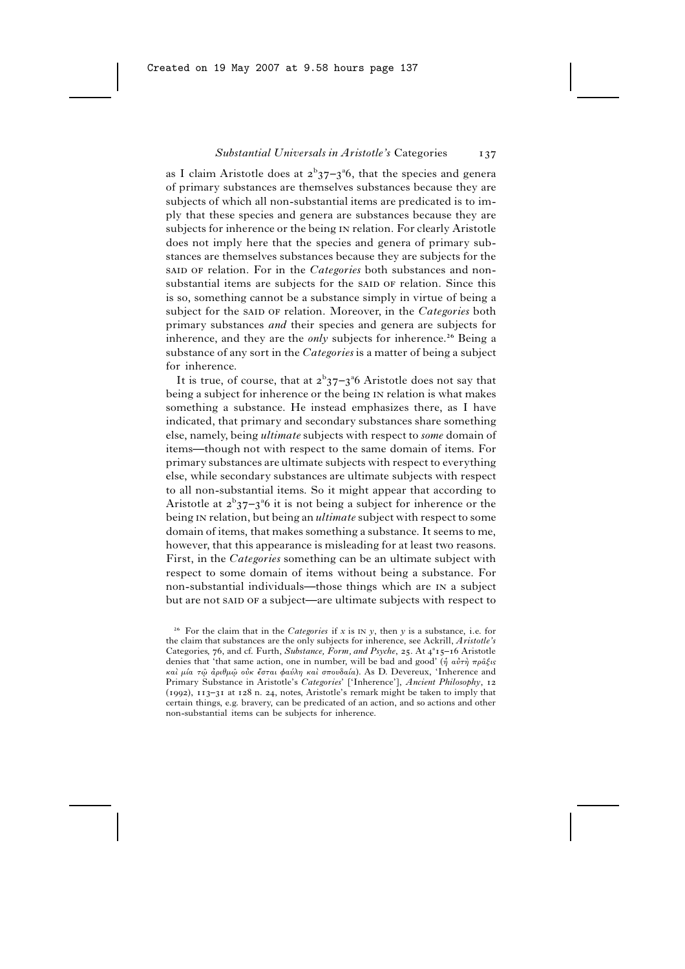as I claim Aristotle does at  $2^{b}37-3^{a}6$ , that the species and genera of primary substances are themselves substances because they are subjects of which all non-substantial items are predicated is to imply that these species and genera are substances because they are subjects for inherence or the being in relation. For clearly Aristotle does not imply here that the species and genera of primary substances are themselves substances because they are subjects for the said of relation. For in the *Categories* both substances and nonsubstantial items are subjects for the sAID OF relation. Since this is so, something cannot be a substance simply in virtue of being a subject for the SAID OF relation. Moreover, in the *Categories* both primary substances *and* their species and genera are subjects for inherence, and they are the *only* subjects for inherence.<sup>26</sup> Being a substance of any sort in the *Categories* is a matter of being a subject for inherence.

It is true, of course, that at  $2^{b}37-3^{a}6$  Aristotle does not say that being a subject for inherence or the being in relation is what makes something a substance. He instead emphasizes there, as I have indicated, that primary and secondary substances share something else, namely, being *ultimate* subjects with respect to *some* domain of items—though not with respect to the same domain of items. For primary substances are ultimate subjects with respect to everything else, while secondary substances are ultimate subjects with respect to all non-substantial items. So it might appear that according to Aristotle at  $2^b 37-3^a 6$  it is not being a subject for inherence or the being in relation, but being an *ultimate* subject with respect to some domain of items, that makes something a substance. It seems to me, however, that this appearance is misleading for at least two reasons. First, in the *Categories* something can be an ultimate subject with respect to some domain of items without being a substance. For non-substantial individuals—those things which are in a subject but are not said of a subject—are ultimate subjects with respect to

<sup>&</sup>lt;sup>26</sup> For the claim that in the *Categories* if  $x$  is in  $y$ , then  $y$  is a substance, i.e. for the claim that substances are the only subjects for inherence, see Ackrill, *Aristotle's* Categories, 76, and cf. Furth, *Substance, Form, and Psyche*, 25. At 4<sup>a</sup>15-16 Aristotle denies that 'that same action, one in number, will be bad and good' ( $\dot{\eta}$   $\alpha\dot{\nu}\tau\dot{\eta}$ )  $\pi\rho\hat{a}\xi\iota s$ καί μία τώ αριθμώ ούκ έσται φαύλη και σπουδαία). As D. Devereux, 'Inherence and Primary Substance in Aristotle's *Categories*' ['Inherence'], *Ancient Philosophy*, 12 (1992), 113–31 at 128 n. 24, notes, Aristotle's remark might be taken to imply that certain things, e.g. bravery, can be predicated of an action, and so actions and other non-substantial items can be subjects for inherence.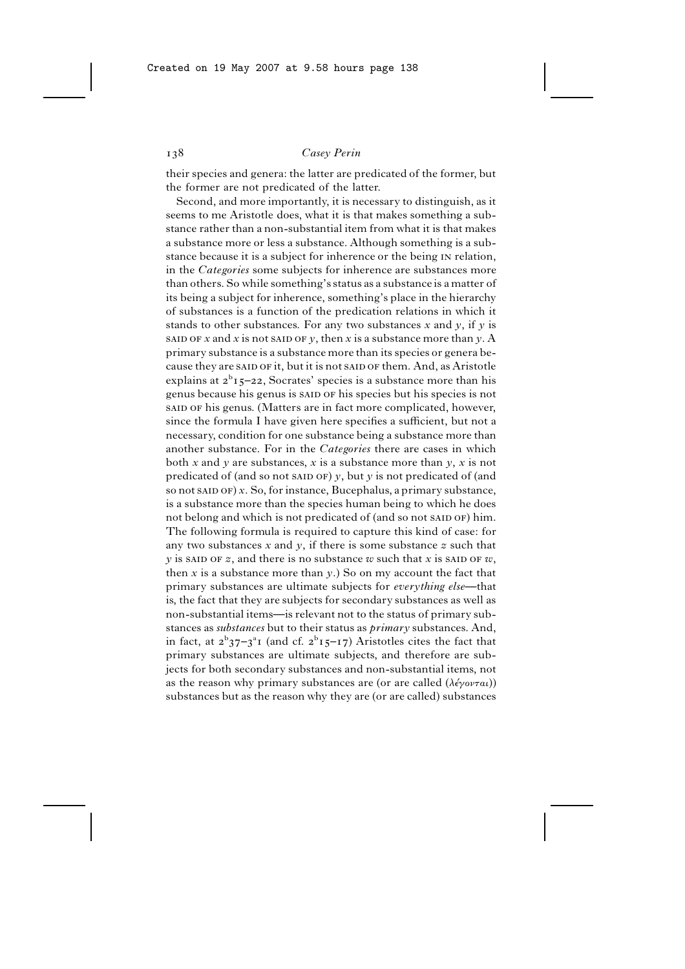their species and genera: the latter are predicated of the former, but the former are not predicated of the latter.

Second, and more importantly, it is necessary to distinguish, as it seems to me Aristotle does, what it is that makes something a substance rather than a non-substantial item from what it is that makes a substance more or less a substance. Although something is a substance because it is a subject for inherence or the being in relation, in the *Categories* some subjects for inherence are substances more than others. So while something's status as a substance is a matter of its being a subject for inherence, something's place in the hierarchy of substances is a function of the predication relations in which it stands to other substances. For any two substances *x* and *y*, if *y* is said of *x* and *x* is not said of *y*, then *x* is a substance more than *y*. A primary substance is a substance more than its species or genera because they are said of it, but it is not said of them. And, as Aristotle explains at  $2^{b}15-22$ , Socrates' species is a substance more than his genus because his genus is said of his species but his species is not said of his genus. (Matters are in fact more complicated, however, since the formula I have given here specifies a sufficient, but not a necessary, condition for one substance being a substance more than another substance. For in the *Categories* there are cases in which both *x* and *y* are substances, *x* is a substance more than *y*, *x* is not predicated of (and so not said of)  $y$ , but  $y$  is not predicated of (and so not said of) *x*. So, for instance, Bucephalus, a primary substance, is a substance more than the species human being to which he does not belong and which is not predicated of (and so not SAID OF) him. The following formula is required to capture this kind of case: for any two substances *x* and *y*, if there is some substance *z* such that *y* is said of *z*, and there is no substance *w* such that *x* is said of *w*, then  $x$  is a substance more than  $y$ .) So on my account the fact that primary substances are ultimate subjects for *everything else*—that is, the fact that they are subjects for secondary substances as well as non-substantial items—is relevant not to the status of primary substances as *substances* but to their status as *primary* substances. And, in fact, at  $2^{b}37-3^{a}1$  (and cf.  $2^{b}15-17$ ) Aristotles cites the fact that primary substances are ultimate subjects, and therefore are subjects for both secondary substances and non-substantial items, not as the reason why primary substances are (or are called  $(\lambda \epsilon \gamma o \nu \tau a \iota)$ ) substances but as the reason why they are (or are called) substances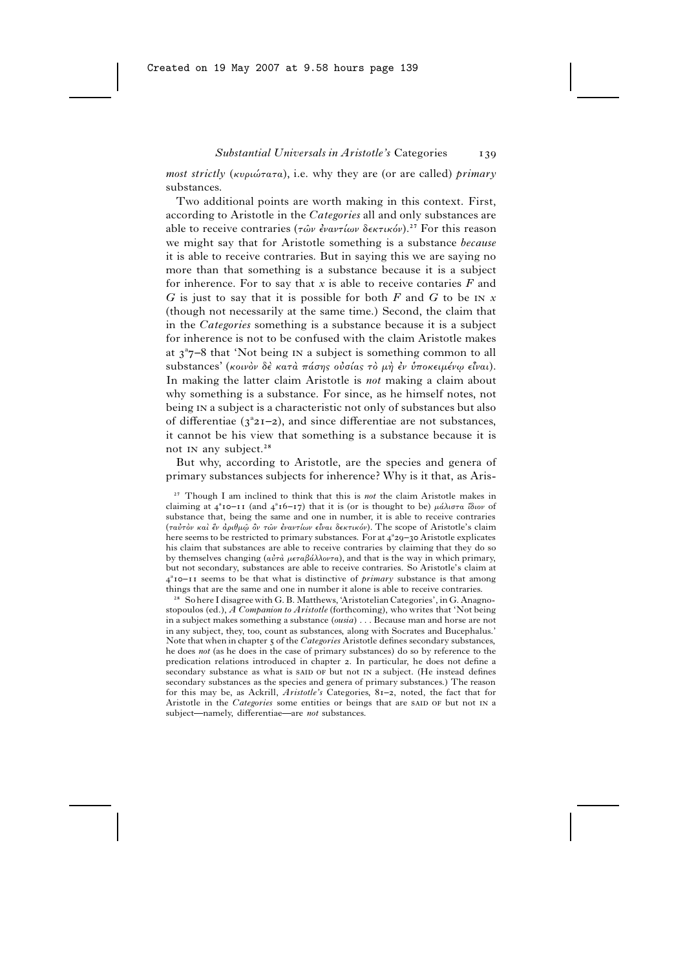*most strictly* (κυριώτατα), i.e. why they are (or are called) *primary* substances.

Two additional points are worth making in this context. First, according to Aristotle in the *Categories* all and only substances are able to receive contraries ( $\tau \hat{\omega} \nu$  *έναντίων* δεκτικόν).<sup>27</sup> For this reason we might say that for Aristotle something is a substance *because* it is able to receive contraries. But in saying this we are saying no more than that something is a substance because it is a subject for inherence. For to say that *x* is able to receive contaries *F* and *G* is just to say that it is possible for both *F* and *G* to be in *x* (though not necessarily at the same time.) Second, the claim that in the *Categories* something is a substance because it is a subject for inherence is not to be confused with the claim Aristotle makes at  $3^2$ 7–8 that 'Not being IN a subject is something common to all substances' (κοινόν δέ κατά πάσης ούσίας το μή έν ύποκειμένω είναι). In making the latter claim Aristotle is *not* making a claim about why something is a substance. For since, as he himself notes, not being in a subject is a characteristic not only of substances but also of differentiae  $(3^a 21-2)$ , and since differentiae are not substances, it cannot be his view that something is a substance because it is not in any subject.<sup>28</sup>

But why, according to Aristotle, are the species and genera of primary substances subjects for inherence? Why is it that, as Aris-

27 Though I am inclined to think that this is *not* the claim Aristotle makes in claiming at  $4^a$ 10–11 (and  $4^a$ 16–17) that it is (or is thought to be) μάλιστα ΐδιον of substance that, being the same and one in number, it is able to receive contraries (ταύτον και εν άριθμω όν των εναντίων είναι δεκτικόν). The scope of Aristotle's claim here seems to be restricted to primary substances. For at 4<sup>ª</sup>29-30 Aristotle explicates his claim that substances are able to receive contraries by claiming that they do so by themselves changing (αύτὰ μεταβάλλοντα), and that is the way in which primary, but not secondary, substances are able to receive contraries. So Aristotle's claim at 4A10–11 seems to be that what is distinctive of *primary* substance is that among things that are the same and one in number it alone is able to receive contraries.

<sup>28</sup> So here I disagree with G. B. Matthews, 'Aristotelian Categories', in G. Anagnostopoulos (ed.), *A Companion to Aristotle* (forthcoming), who writes that 'Not being in a subject makes something a substance (*ousia)* . . . Because man and horse are not in any subject, they, too, count as substances, along with Socrates and Bucephalus.' Note that when in chapter 5 of the *Categories* Aristotle defines secondary substances, he does *not* (as he does in the case of primary substances) do so by reference to the predication relations introduced in chapter 2. In particular, he does not define a secondary substance as what is SAID OF but not IN a subject. (He instead defines secondary substances as the species and genera of primary substances.) The reason for this may be, as Ackrill, *Aristotle's* Categories, 81–2, noted, the fact that for Aristotle in the *Categories* some entities or beings that are SAID OF but not IN a subject—namely, differentiae—are *not* substances.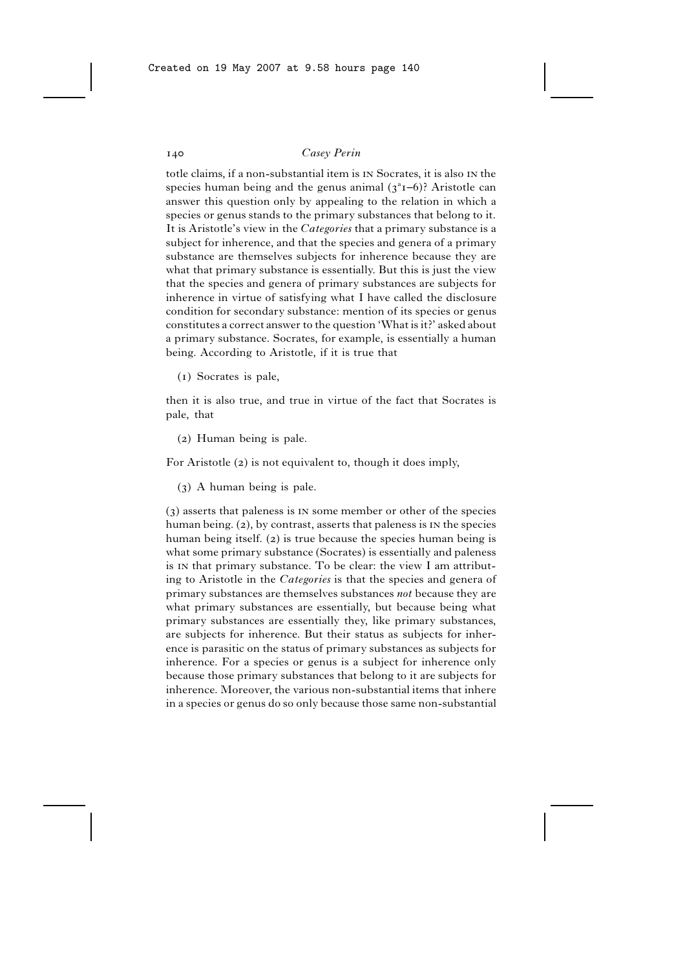totle claims, if a non-substantial item is in Socrates, it is also in the species human being and the genus animal  $(3<sup>a</sup>1-6)$ ? Aristotle can answer this question only by appealing to the relation in which a species or genus stands to the primary substances that belong to it. It is Aristotle's view in the *Categories* that a primary substance is a subject for inherence, and that the species and genera of a primary substance are themselves subjects for inherence because they are what that primary substance is essentially. But this is just the view that the species and genera of primary substances are subjects for inherence in virtue of satisfying what I have called the disclosure condition for secondary substance: mention of its species or genus constitutes a correct answer to the question 'What is it?' asked about a primary substance. Socrates, for example, is essentially a human being. According to Aristotle, if it is true that

(1) Socrates is pale,

then it is also true, and true in virtue of the fact that Socrates is pale, that

(2) Human being is pale.

For Aristotle (2) is not equivalent to, though it does imply,

(3) A human being is pale.

(3) asserts that paleness is in some member or other of the species human being. (2), by contrast, asserts that paleness is in the species human being itself. (2) is true because the species human being is what some primary substance (Socrates) is essentially and paleness is in that primary substance. To be clear: the view I am attributing to Aristotle in the *Categories* is that the species and genera of primary substances are themselves substances *not* because they are what primary substances are essentially, but because being what primary substances are essentially they, like primary substances, are subjects for inherence. But their status as subjects for inherence is parasitic on the status of primary substances as subjects for inherence. For a species or genus is a subject for inherence only because those primary substances that belong to it are subjects for inherence. Moreover, the various non-substantial items that inhere in a species or genus do so only because those same non-substantial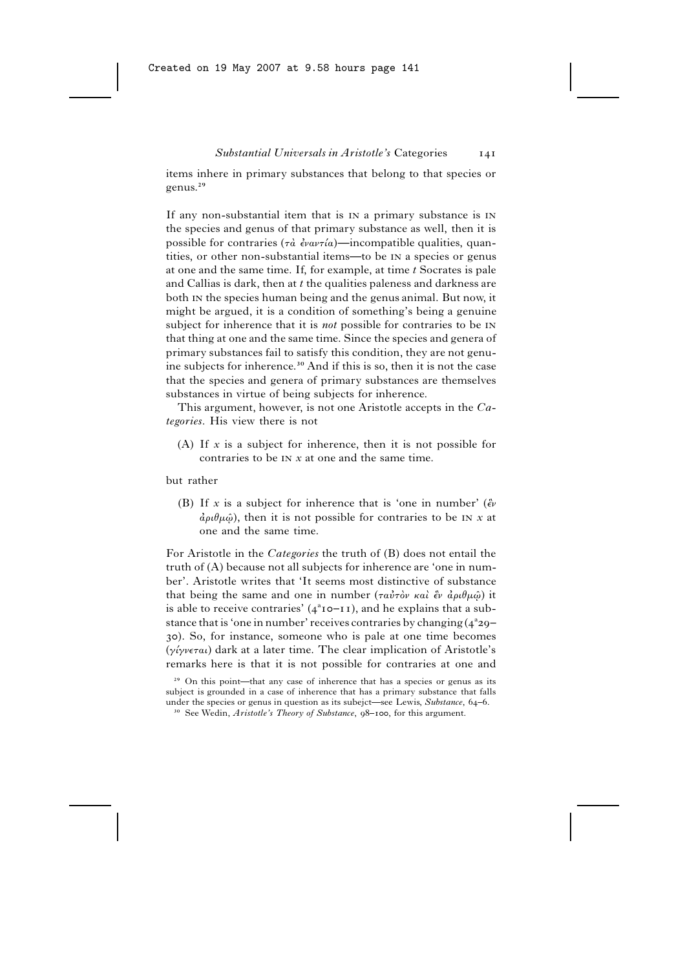items inhere in primary substances that belong to that species or genus.29

If any non-substantial item that is in a primary substance is in the species and genus of that primary substance as well, then it is possible for contraries (τὰ ἐναντία)—incompatible qualities, quantities, or other non-substantial items—to be in a species or genus at one and the same time. If, for example, at time *t* Socrates is pale and Callias is dark, then at *t* the qualities paleness and darkness are both in the species human being and the genus animal. But now, it might be argued, it is a condition of something's being a genuine subject for inherence that it is *not* possible for contraries to be in that thing at one and the same time. Since the species and genera of primary substances fail to satisfy this condition, they are not genuine subjects for inherence.<sup>30</sup> And if this is so, then it is not the case that the species and genera of primary substances are themselves substances in virtue of being subjects for inherence.

This argument, however, is not one Aristotle accepts in the *Categories*. His view there is not

(A) If *x* is a subject for inherence, then it is not possible for contraries to be in *x* at one and the same time.

but rather

(B) If *x* is a subject for inherence that is 'one in number' ( $\epsilon v$  $d\rho_l(\theta\mu_0)$ , then it is not possible for contraries to be in *x* at one and the same time.

For Aristotle in the *Categories* the truth of (B) does not entail the truth of (A) because not all subjects for inherence are 'one in number'. Aristotle writes that 'It seems most distinctive of substance that being the same and one in number (ταὐτὸν καὶ ἐν ἀριθμῷ) it is able to receive contraries'  $(4^a \text{io}-1)$ , and he explains that a substance that is 'one in number' receives contraries by changing  $(4^229 -$ 30). So, for instance, someone who is pale at one time becomes ( $\sqrt{\nu}$ γνεται) dark at a later time. The clear implication of Aristotle's remarks here is that it is not possible for contraries at one and

<sup>&</sup>lt;sup>29</sup> On this point—that any case of inherence that has a species or genus as its subject is grounded in a case of inherence that has a primary substance that falls under the species or genus in question as its subejct—see Lewis, *Substance*, 64–6.

<sup>30</sup> See Wedin, *Aristotle's Theory of Substance*, 98–100, for this argument.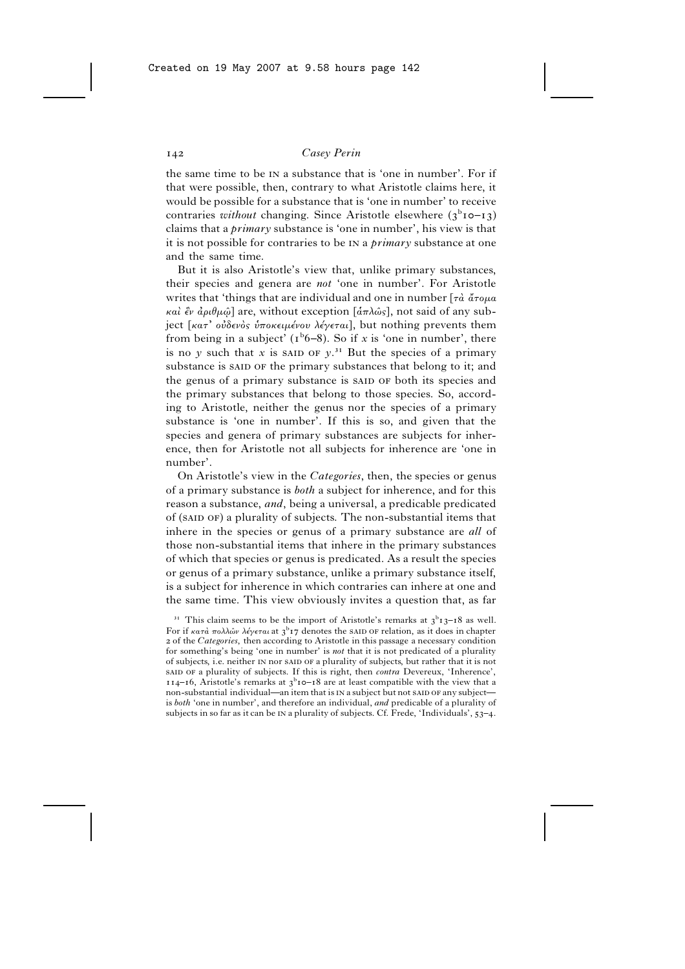the same time to be in a substance that is 'one in number'. For if that were possible, then, contrary to what Aristotle claims here, it would be possible for a substance that is 'one in number' to receive contraries *without* changing. Since Aristotle elsewhere  $(3^b10-13)$ claims that a *primary* substance is 'one in number', his view is that it is not possible for contraries to be in a *primary* substance at one and the same time.

But it is also Aristotle's view that, unlike primary substances, their species and genera are *not* 'one in number'. For Aristotle writes that 'things that are individual and one in number  $[\tau \alpha \ \alpha \tau \omega \mu \alpha]$ καί έν άριθμ $\hat{\omega}$ ] are, without exception  $[\hat{\alpha}\pi\lambda\hat{\omega}_s]$ , not said of any subject  $\lceil \kappa \alpha \tau \rceil$  ούδενός ύποκειμένου λέγεται], but nothing prevents them from being in a subject' ( $1<sup>b</sup>6-8$ ). So if *x* is 'one in number', there is no *y* such that *x* is sAID OF  $y$ .<sup>31</sup> But the species of a primary substance is SAID OF the primary substances that belong to it; and the genus of a primary substance is said of both its species and the primary substances that belong to those species. So, according to Aristotle, neither the genus nor the species of a primary substance is 'one in number'. If this is so, and given that the species and genera of primary substances are subjects for inherence, then for Aristotle not all subjects for inherence are 'one in number'.

On Aristotle's view in the *Categories*, then, the species or genus of a primary substance is *both* a subject for inherence, and for this reason a substance, *and*, being a universal, a predicable predicated of (SAID OF) a plurality of subjects. The non-substantial items that inhere in the species or genus of a primary substance are *all* of those non-substantial items that inhere in the primary substances of which that species or genus is predicated. As a result the species or genus of a primary substance, unlike a primary substance itself, is a subject for inherence in which contraries can inhere at one and the same time. This view obviously invites a question that, as far

<sup>&</sup>lt;sup>31</sup> This claim seems to be the import of Aristotle's remarks at  $3<sup>b</sup>13-18$  as well. For if κατά πολλών λέγεται at  $3<sup>b</sup>$ 17 denotes the said of relation, as it does in chapter 2 of the *Categories*, then according to Aristotle in this passage a necessary condition for something's being 'one in number' is *not* that it is not predicated of a plurality of subjects, i.e. neither in nor said of a plurality of subjects, but rather that it is not said of a plurality of subjects. If this is right, then *contra* Devereux, 'Inherence', 114–16, Aristotle's remarks at  $3<sup>b</sup>10-18$  are at least compatible with the view that a non-substantial individual—an item that is IN a subject but not SAID OF any subject is *both* 'one in number', and therefore an individual, *and* predicable of a plurality of subjects in so far as it can be in a plurality of subjects. Cf. Frede, 'Individuals', 53–4.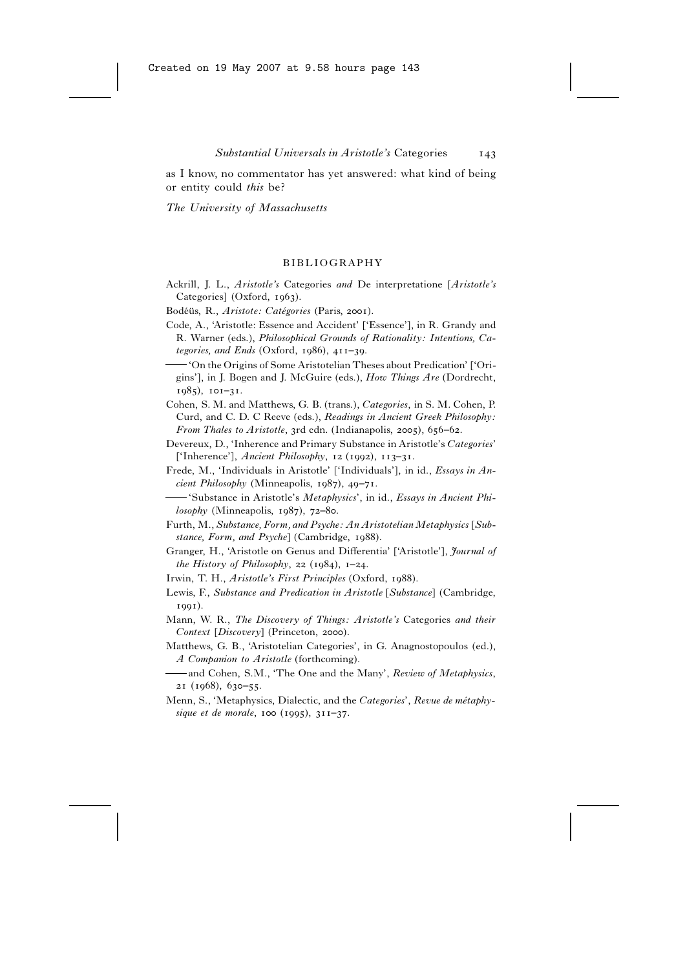as I know, no commentator has yet answered: what kind of being or entity could *this* be?

*The University of Massachusetts*

#### BIBLIOGRAPHY

- Ackrill, J. L., *Aristotle's* Categories *and* De interpretatione [*Aristotle's* Categories] (Oxford, 1963).
- Bodéüs, R., *Aristote: Catégories* (Paris, 2001).
- Code, A., 'Aristotle: Essence and Accident' ['Essence'], in R. Grandy and R. Warner (eds.), *Philosophical Grounds of Rationality: Intentions, Categories, and Ends* (Oxford, 1986), 411–39.
- 'On the Origins of Some Aristotelian Theses about Predication' ['Origins'], in J. Bogen and J. McGuire (eds.), *How Things Are* (Dordrecht, 1985), 101–31.
- Cohen, S. M. and Matthews, G. B. (trans.), *Categories*, in S. M. Cohen, P. Curd, and C. D. C Reeve (eds.), *Readings in Ancient Greek Philosophy: From Thales to Aristotle*, 3rd edn. (Indianapolis, 2005), 656–62.
- Devereux, D., 'Inherence and Primary Substance in Aristotle's *Categories*' ['Inherence'], *Ancient Philosophy*, 12 (1992), 113–31.
- Frede, M., 'Individuals in Aristotle' ['Individuals'], in id., *Essays in Ancient Philosophy* (Minneapolis, 1987), 49–71.
- 'Substance in Aristotle's *Metaphysics*', in id., *Essays in Ancient Philosophy* (Minneapolis, 1987), 72–80.
- Furth, M.,*Substance, Form, and Psyche: An Aristotelian Metaphysics* [*Substance, Form, and Psyche*] (Cambridge, 1988).
- Granger, H., 'Aristotle on Genus and Differentia' ['Aristotle'], *Journal of the History of Philosophy*, 22 (1984), 1–24.
- Irwin, T. H., *Aristotle's First Principles* (Oxford, 1988).
- Lewis, F., *Substance and Predication in Aristotle* [*Substance*] (Cambridge, 1991).
- Mann, W. R., *The Discovery of Things: Aristotle's* Categories *and their Context* [*Discovery*] (Princeton, 2000).
- Matthews, G. B., 'Aristotelian Categories', in G. Anagnostopoulos (ed.), *A Companion to Aristotle* (forthcoming).
- and Cohen, S.M., 'The One and the Many', *Review of Metaphysics*, 21 (1968), 630–55.
- Menn, S., 'Metaphysics, Dialectic, and the *Categories'*, *Revue de métaphysique et de morale*, 100 (1995), 311–37.